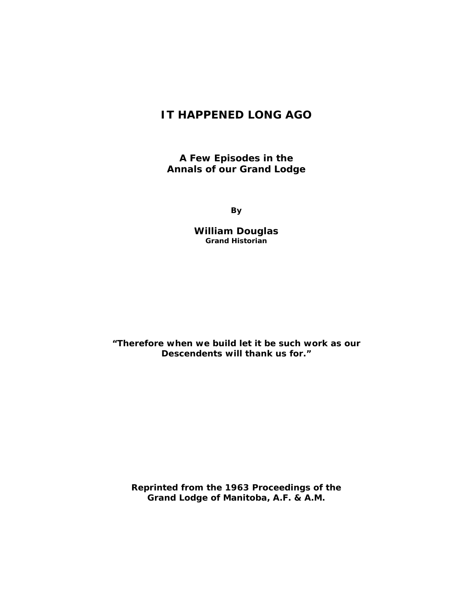## **IT HAPPENED LONG AGO**

**A Few Episodes in the Annals of our Grand Lodge** 

**By** 

**William Douglas Grand Historian** 

*"Therefore when we build let it be such work as our Descendents will thank us for."* 

**Reprinted from the 1963 Proceedings of the Grand Lodge of Manitoba, A.F. & A.M.**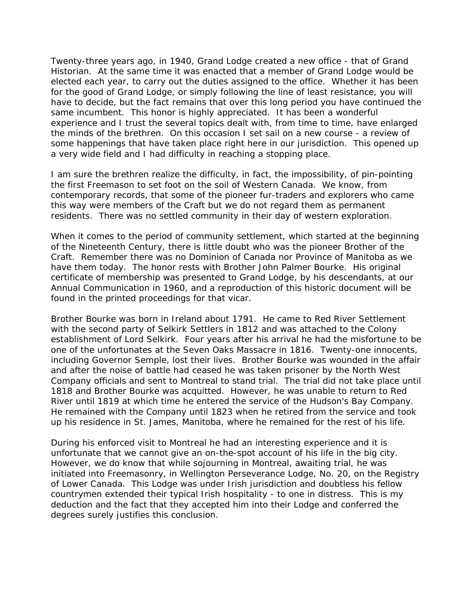Twenty-three years ago, in 1940, Grand Lodge created a new office - that of Grand Historian. At the same time it was enacted that a member of Grand Lodge would be elected each year, to carry out the duties assigned to the office. Whether it has been for the good of Grand Lodge, or simply following the line of least resistance, you will have to decide, but the fact remains that over this long period you have continued the same incumbent. This honor is highly appreciated. It has been a wonderful experience and I trust the several topics dealt with, from time to time, have enlarged the minds of the brethren. On this occasion I set sail on a new course - a review of some happenings that have taken place right here in our jurisdiction. This opened up a very wide field and I had difficulty in reaching a stopping place.

I am sure the brethren realize the difficulty, in fact, the impossibility, of pin-pointing the first Freemason to set foot on the soil of Western Canada. We know, from contemporary records, that some of the pioneer fur-traders and explorers who came this way were members of the Craft but we do not regard them as permanent residents. There was no settled community in their day of western exploration.

When it comes to the period of community settlement, which started at the beginning of the Nineteenth Century, there is little doubt who was the pioneer Brother of the Craft. Remember there was no Dominion of Canada nor Province of Manitoba as we have them today. The honor rests with Brother John Palmer Bourke. His original certificate of membership was presented to Grand Lodge, by his descendants, at our Annual Communication in 1960, and a reproduction of this historic document will be found in the printed proceedings for that vicar.

Brother Bourke was born in Ireland about 1791. He came to Red River Settlement with the second party of Selkirk Settlers in 1812 and was attached to the Colony establishment of Lord Selkirk. Four years after his arrival he had the misfortune to be one of the unfortunates at the Seven Oaks Massacre in 1816. Twenty-one innocents, including Governor Semple, lost their lives. Brother Bourke was wounded in the affair and after the noise of battle had ceased he was taken prisoner by the North West Company officials and sent to Montreal to stand trial. The trial did not take place until 1818 and Brother Bourke was acquitted. However, he was unable to return to Red River until 1819 at which time he entered the service of the Hudson's Bay Company. He remained with the Company until 1823 when he retired from the service and took up his residence in St. James, Manitoba, where he remained for the rest of his life.

During his enforced visit to Montreal he had an interesting experience and it is unfortunate that we cannot give an on-the-spot account of his life in the big city. However, we do know that while sojourning in Montreal, awaiting trial, he was initiated into Freemasonry, in Wellington Perseverance Lodge, No. 20, on the Registry of Lower Canada. This Lodge was under Irish jurisdiction and doubtless his fellow countrymen extended their typical Irish hospitality - to one in distress. This is my deduction and the fact that they accepted him into their Lodge and conferred the degrees surely justifies this conclusion.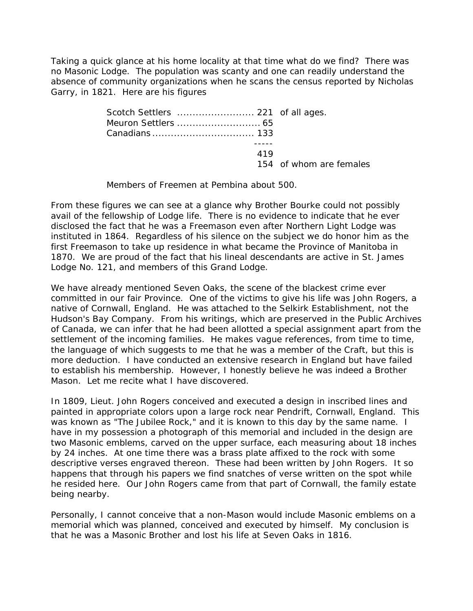Taking a quick glance at his home locality at that time what do we find? There was no Masonic Lodge. The population was scanty and one can readily understand the absence of community organizations when he scans the census reported by Nicholas Garry, in 1821. Here are his figures

| 419 |                         |
|-----|-------------------------|
|     | 154 of whom are females |

Members of Freemen at Pembina about 500.

From these figures we can see at a glance why Brother Bourke could not possibly avail of the fellowship of Lodge life. There is no evidence to indicate that he ever disclosed the fact that he was a Freemason even after Northern Light Lodge was instituted in 1864. Regardless of his silence on the subject we do honor him as the first Freemason to take up residence in what became the Province of Manitoba in 1870. We are proud of the fact that his lineal descendants are active in St. James Lodge No. 121, and members of this Grand Lodge.

We have already mentioned Seven Oaks, the scene of the blackest crime ever committed in our fair Province. One of the victims to give his life was John Rogers, a native of Cornwall, England. He was attached to the Selkirk Establishment, not the Hudson's Bay Company. From his writings, which are preserved in the Public Archives of Canada, we can infer that he had been allotted a special assignment apart from the settlement of the incoming families. He makes vague references, from time to time, the language of which suggests to me that he was a member of the Craft, but this is more deduction. I have conducted an extensive research in England but have failed to establish his membership. However, I honestly believe he was indeed a Brother Mason. Let me recite what I have discovered.

In 1809, Lieut. John Rogers conceived and executed a design in inscribed lines and painted in appropriate colors upon a large rock near Pendrift, Cornwall, England. This was known as "The Jubilee Rock," and it is known to this day by the same name. I have in my possession a photograph of this memorial and included in the design are two Masonic emblems, carved on the upper surface, each measuring about 18 inches by 24 inches. At one time there was a brass plate affixed to the rock with some descriptive verses engraved thereon. These had been written by John Rogers. It so happens that through his papers we find snatches of verse written on the spot while he resided here. Our John Rogers came from that part of Cornwall, the family estate being nearby.

Personally, I cannot conceive that a non-Mason would include Masonic emblems on a memorial which was planned, conceived and executed by himself. My conclusion is that he was a Masonic Brother and lost his life at Seven Oaks in 1816.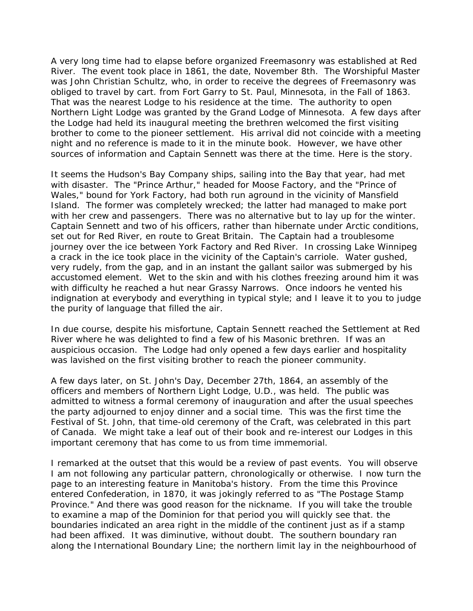A very long time had to elapse before organized Freemasonry was established at Red River. The event took place in 1861, the date, November 8th. The Worshipful Master was John Christian Schultz, who, in order to receive the degrees of Freemasonry was obliged to travel by cart. from Fort Garry to St. Paul, Minnesota, in the Fall of 1863. That was the nearest Lodge to his residence at the time. The authority to open Northern Light Lodge was granted by the Grand Lodge of Minnesota. A few days after the Lodge had held its inaugural meeting the brethren welcomed the first visiting brother to come to the pioneer settlement. His arrival did not coincide with a meeting night and no reference is made to it in the minute book. However, we have other sources of information and Captain Sennett was there at the time. Here is the story.

It seems the Hudson's Bay Company ships, sailing into the Bay that year, had met with disaster. The "Prince Arthur," headed for Moose Factory, and the "Prince of Wales," bound for York Factory, had both run aground in the vicinity of Mansfield Island. The former was completely wrecked; the latter had managed to make port with her crew and passengers. There was no alternative but to lay up for the winter. Captain Sennett and two of his officers, rather than hibernate under Arctic conditions, set out for Red River, en route to Great Britain. The Captain had a troublesome journey over the ice between York Factory and Red River. In crossing Lake Winnipeg a crack in the ice took place in the vicinity of the Captain's carriole. Water gushed, very rudely, from the gap, and in an instant the gallant sailor was submerged by his accustomed element. Wet to the skin and with his clothes freezing around him it was with difficulty he reached a hut near Grassy Narrows. Once indoors he vented his indignation at everybody and everything in typical style; and I leave it to you to judge the purity of language that filled the air.

In due course, despite his misfortune, Captain Sennett reached the Settlement at Red River where he was delighted to find a few of his Masonic brethren. If was an auspicious occasion. The Lodge had only opened a few days earlier and hospitality was lavished on the first visiting brother to reach the pioneer community.

A few days later, on St. John's Day, December 27th, 1864, an assembly of the officers and members of Northern Light Lodge, U.D., was held. The public was admitted to witness a formal ceremony of inauguration and after the usual speeches the party adjourned to enjoy dinner and a social time. This was the first time the Festival of St. John, that time-old ceremony of the Craft, was celebrated in this part of Canada. We might take a leaf out of their book and re-interest our Lodges in this important ceremony that has come to us from time immemorial.

I remarked at the outset that this would be a review of past events. You will observe I am not following any particular pattern, chronologically or otherwise. I now turn the page to an interesting feature in Manitoba's history. From the time this Province entered Confederation, in 1870, it was jokingly referred to as "The Postage Stamp Province." And there was good reason for the nickname. If you will take the trouble to examine a map of the Dominion for that period you will quickly see that. the boundaries indicated an area right in the middle of the continent just as if a stamp had been affixed. It was diminutive, without doubt. The southern boundary ran along the International Boundary Line; the northern limit lay in the neighbourhood of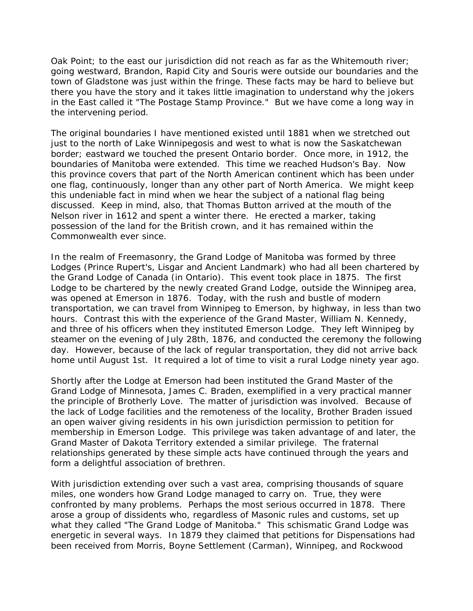Oak Point; to the east our jurisdiction did not reach as far as the Whitemouth river; going westward, Brandon, Rapid City and Souris were outside our boundaries and the town of Gladstone was just within the fringe. These facts may be hard to believe but there you have the story and it takes little imagination to understand why the jokers in the East called it "The Postage Stamp Province." But we have come a long way in the intervening period.

The original boundaries I have mentioned existed until 1881 when we stretched out just to the north of Lake Winnipegosis and west to what is now the Saskatchewan border; eastward we touched the present Ontario border. Once more, in 1912, the boundaries of Manitoba were extended. This time we reached Hudson's Bay. Now this province covers that part of the North American continent which has been under one flag, continuously, longer than any other part of North America. We might keep this undeniable fact in mind when we hear the subject of a national flag being discussed. Keep in mind, also, that Thomas Button arrived at the mouth of the Nelson river in 1612 and spent a winter there. He erected a marker, taking possession of the land for the British crown, and it has remained within the Commonwealth ever since.

In the realm of Freemasonry, the Grand Lodge of Manitoba was formed by three Lodges (Prince Rupert's, Lisgar and Ancient Landmark) who had all been chartered by the Grand Lodge of Canada (in Ontario). This event took place in 1875. The first Lodge to be chartered by the newly created Grand Lodge, outside the Winnipeg area, was opened at Emerson in 1876. Today, with the rush and bustle of modern transportation, we can travel from Winnipeg to Emerson, by highway, in less than two hours. Contrast this with the experience of the Grand Master, William N. Kennedy, and three of his officers when they instituted Emerson Lodge. They left Winnipeg by steamer on the evening of July 28th, 1876, and conducted the ceremony the following day. However, because of the lack of regular transportation, they did not arrive back home until August 1st. It required a lot of time to visit a rural Lodge ninety year ago.

Shortly after the Lodge at Emerson had been instituted the Grand Master of the Grand Lodge of Minnesota, James C. Braden, exemplified in a very practical manner the principle of Brotherly Love. The matter of jurisdiction was involved. Because of the lack of Lodge facilities and the remoteness of the locality, Brother Braden issued an open waiver giving residents in his own jurisdiction permission to petition for membership in Emerson Lodge. This privilege was taken advantage of and later, the Grand Master of Dakota Territory extended a similar privilege. The fraternal relationships generated by these simple acts have continued through the years and form a delightful association of brethren.

With jurisdiction extending over such a vast area, comprising thousands of square miles, one wonders how Grand Lodge managed to carry on. True, they were confronted by many problems. Perhaps the most serious occurred in 1878. There arose a group of dissidents who, regardless of Masonic rules and customs, set up what they called "The Grand Lodge of Manitoba." This schismatic Grand Lodge was energetic in several ways. In 1879 they claimed that petitions for Dispensations had been received from Morris, Boyne Settlement (Carman), Winnipeg, and Rockwood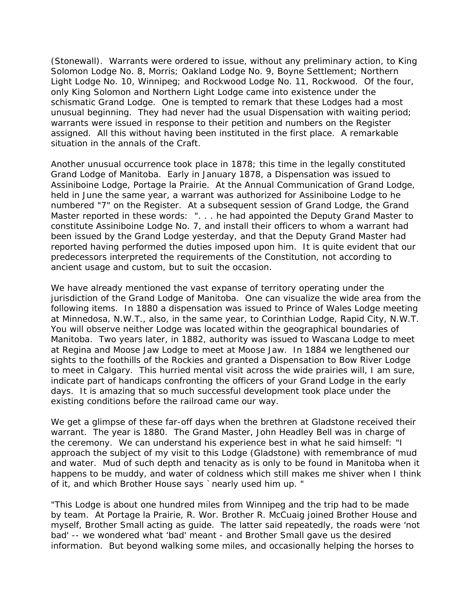(Stonewall). Warrants were ordered to issue, without any preliminary action, to King Solomon Lodge No. 8, Morris; Oakland Lodge No. 9, Boyne Settlement; Northern Light Lodge No. 10, Winnipeg; and Rockwood Lodge No. 11, Rockwood. Of the four, only King Solomon and Northern Light Lodge came into existence under the schismatic Grand Lodge. One is tempted to remark that these Lodges had a most unusual beginning. They had never had the usual Dispensation with waiting period; warrants were issued in response to their petition and numbers on the Register assigned. All this without having been instituted in the first place. A remarkable situation in the annals of the Craft.

Another unusual occurrence took place in 1878; this time in the legally constituted Grand Lodge of Manitoba. Early in January 1878, a Dispensation was issued to Assiniboine Lodge, Portage la Prairie. At the Annual Communication of Grand Lodge, held in June the same year, a warrant was authorized for Assiniboine Lodge to he numbered "7" on the Register. At a subsequent session of Grand Lodge, the Grand Master reported in these words: ". . . he had appointed the Deputy Grand Master to constitute Assiniboine Lodge No. 7, and install their officers to whom a warrant had been issued by the Grand Lodge yesterday, and that the Deputy Grand Master had reported having performed the duties imposed upon him. It is quite evident that our predecessors interpreted the requirements of the Constitution, not according to ancient usage and custom, but to suit the occasion.

We have already mentioned the vast expanse of territory operating under the jurisdiction of the Grand Lodge of Manitoba. One can visualize the wide area from the following items. In 1880 a dispensation was issued to Prince of Wales Lodge meeting at Minnedosa, N.W.T., also, in the same year, to Corinthian Lodge, Rapid City, N.W.T. You will observe neither Lodge was located within the geographical boundaries of Manitoba. Two years later, in 1882, authority was issued to Wascana Lodge to meet at Regina and Moose Jaw Lodge to meet at Moose Jaw. In 1884 we lengthened our sights to the foothills of the Rockies and granted a Dispensation to Bow River Lodge to meet in Calgary. This hurried mental visit across the wide prairies will, I am sure, indicate part of handicaps confronting the officers of your Grand Lodge in the early days. It is amazing that so much successful development took place under the existing conditions before the railroad came our way.

We get a glimpse of these far-off days when the brethren at Gladstone received their warrant. The year is 1880. The Grand Master, John Headley Bell was in charge of the ceremony. We can understand his experience best in what he said himself: "I approach the subject of my visit to this Lodge (Gladstone) with remembrance of mud and water. Mud of such depth and tenacity as is only to be found in Manitoba when it happens to be muddy, and water of coldness which still makes me shiver when I think of it, and which Brother House says `nearly used him up. "

"This Lodge is about one hundred miles from Winnipeg and the trip had to be made by team. At Portage la Prairie, R. Wor. Brother R. McCuaig joined Brother House and myself, Brother Small acting as guide. The latter said repeatedly, the roads were 'not bad' -- we wondered what 'bad' meant - and Brother Small gave us the desired information. But beyond walking some miles, and occasionally helping the horses to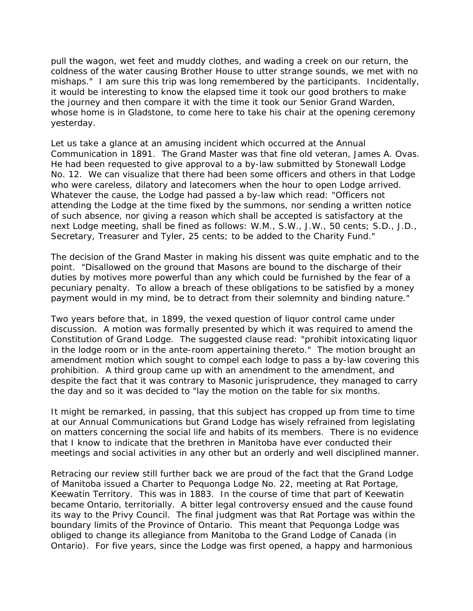pull the wagon, wet feet and muddy clothes, and wading a creek on our return, the coldness of the water causing Brother House to utter strange sounds, we met with no mishaps." I am sure this trip was long remembered by the participants. Incidentally, it would be interesting to know the elapsed time it took our good brothers to make the journey and then compare it with the time it took our Senior Grand Warden, whose home is in Gladstone, to come here to take his chair at the opening ceremony yesterday.

Let us take a glance at an amusing incident which occurred at the Annual Communication in 1891. The Grand Master was that fine old veteran, James A. Ovas. He had been requested to give approval to a by-law submitted by Stonewall Lodge No. 12. We can visualize that there had been some officers and others in that Lodge who were careless, dilatory and latecomers when the hour to open Lodge arrived. Whatever the cause, the Lodge had passed a by-law which read: "Officers not attending the Lodge at the time fixed by the summons, nor sending a written notice of such absence, nor giving a reason which shall be accepted is satisfactory at the next Lodge meeting, shall be fined as follows: W.M., S.W., J.W., 50 cents; S.D., J.D., Secretary, Treasurer and Tyler, 25 cents; to be added to the Charity Fund."

The decision of the Grand Master in making his dissent was quite emphatic and to the point. "Disallowed on the ground that Masons are bound to the discharge of their duties by motives more powerful than any which could be furnished by the fear of a pecuniary penalty. To allow a breach of these obligations to be satisfied by a money payment would in my mind, be to detract from their solemnity and binding nature."

Two years before that, in 1899, the vexed question of liquor control came under discussion. A motion was formally presented by which it was required to amend the Constitution of Grand Lodge. The suggested clause read: "prohibit intoxicating liquor in the lodge room or in the ante-room appertaining thereto." The motion brought an amendment motion which sought to compel each lodge to pass a by-law covering this prohibition. A third group came up with an amendment to the amendment, and despite the fact that it was contrary to Masonic jurisprudence, they managed to carry the day and so it was decided to "lay the motion on the table for six months.

It might be remarked, in passing, that this subject has cropped up from time to time at our Annual Communications but Grand Lodge has wisely refrained from legislating on matters concerning the social life and habits of its members. There is no evidence that I know to indicate that the brethren in Manitoba have ever conducted their meetings and social activities in any other but an orderly and well disciplined manner.

Retracing our review still further back we are proud of the fact that the Grand Lodge of Manitoba issued a Charter to Pequonga Lodge No. 22, meeting at Rat Portage, Keewatin Territory. This was in 1883. In the course of time that part of Keewatin became Ontario, territorially. A bitter legal controversy ensued and the cause found its way to the Privy Council. The final judgment was that Rat Portage was within the boundary limits of the Province of Ontario. This meant that Pequonga Lodge was obliged to change its allegiance from Manitoba to the Grand Lodge of Canada (in Ontario). For five years, since the Lodge was first opened, a happy and harmonious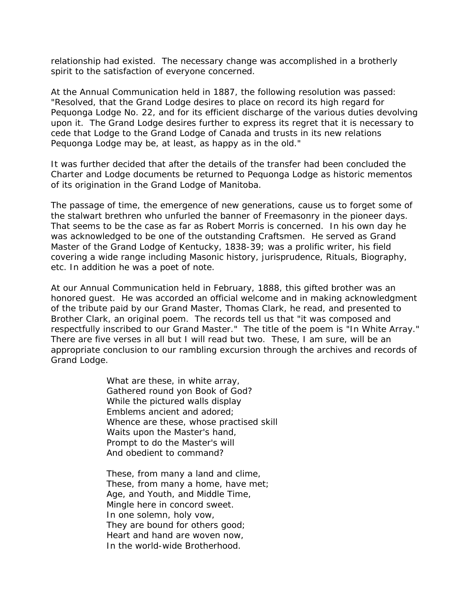relationship had existed. The necessary change was accomplished in a brotherly spirit to the satisfaction of everyone concerned.

At the Annual Communication held in 1887, the following resolution was passed: "Resolved, that the Grand Lodge desires to place on record its high regard for Pequonga Lodge No. 22, and for its efficient discharge of the various duties devolving upon it. The Grand Lodge desires further to express its regret that it is necessary to cede that Lodge to the Grand Lodge of Canada and trusts in its new relations Pequonga Lodge may be, at least, as happy as in the old."

It was further decided that after the details of the transfer had been concluded the Charter and Lodge documents be returned to Pequonga Lodge as historic mementos of its origination in the Grand Lodge of Manitoba.

The passage of time, the emergence of new generations, cause us to forget some of the stalwart brethren who unfurled the banner of Freemasonry in the pioneer days. That seems to be the case as far as Robert Morris is concerned. In his own day he was acknowledged to be one of the outstanding Craftsmen. He served as Grand Master of the Grand Lodge of Kentucky, 1838-39; was a prolific writer, his field covering a wide range including Masonic history, jurisprudence, Rituals, Biography, etc. In addition he was a poet of note.

At our Annual Communication held in February, 1888, this gifted brother was an honored guest. He was accorded an official welcome and in making acknowledgment of the tribute paid by our Grand Master, Thomas Clark, he read, and presented to Brother Clark, an original poem. The records tell us that "it was composed and respectfully inscribed to our Grand Master." The title of the poem is "In White Array." There are five verses in all but I will read but two. These, I am sure, will be an appropriate conclusion to our rambling excursion through the archives and records of Grand Lodge.

> What are these, in white array, Gathered round yon Book of God? While the pictured walls display Emblems ancient and adored; Whence are these, whose practised skill Waits upon the Master's hand, Prompt to do the Master's will And obedient to command?

These, from many a land and clime, These, from many a home, have met; Age, and Youth, and Middle Time, Mingle here in concord sweet. In one solemn, holy vow, They are bound for others good; Heart and hand are woven now, In the world-wide Brotherhood.